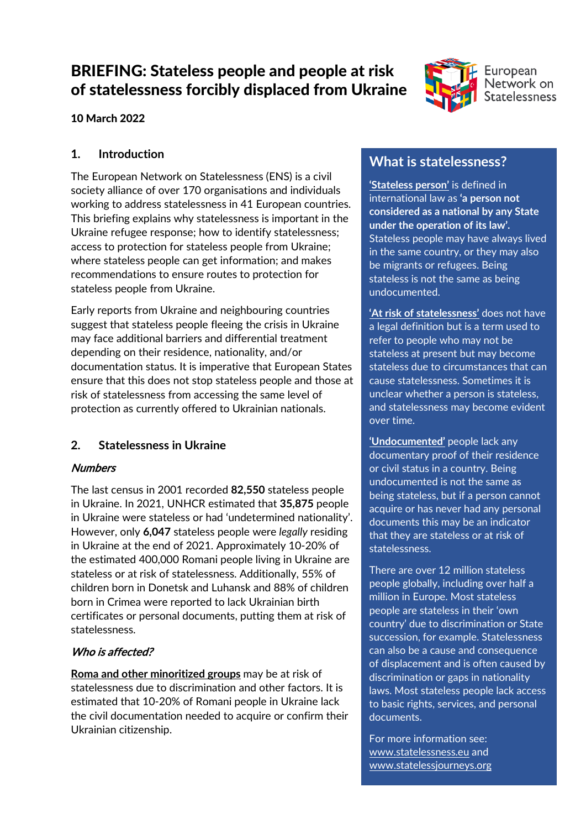# BRIEFING: Stateless people and people at risk of statelessness forcibly displaced from Ukraine



#### 10 March 2022

#### **1. Introduction**

The European Network on Statelessness (ENS) is a civil society alliance of over 170 organisations and individuals working to address statelessness in 41 European countries. This briefing explains why statelessness is important in the Ukraine refugee response; how to identify statelessness; access to protection for stateless people from Ukraine; where stateless people can get information; and makes recommendations to ensure routes to protection for stateless people from Ukraine.

Early reports from Ukraine and neighbouring countries suggest that stateless people fleeing the crisis in Ukraine may face additional barriers and differential treatment depending on their residence, nationality, and/or documentation status. It is imperative that European States ensure that this does not stop stateless people and those at risk of statelessness from accessing the same level of protection as currently offered to Ukrainian nationals.

#### **2. Statelessness in Ukraine**

#### **Numbers**

The last census in 2001 recorded **82,550** stateless people in Ukraine. In 2021, UNHCR estimated that **35,875** people in Ukraine were stateless or had 'undetermined nationality'. However, only **6,047** stateless people were *legally* residing in Ukraine at the end of 2021. Approximately 10-20% of the estimated 400,000 Romani people living in Ukraine are stateless or at risk of statelessness. Additionally, 55% of children born in Donetsk and Luhansk and 88% of children born in Crimea were reported to lack Ukrainian birth certificates or personal documents, putting them at risk of statelessness.

#### Who is affected?

**Roma and other minoritized groups** may be at risk of statelessness due to discrimination and other factors. It is estimated that 10-20% of Romani people in Ukraine lack the civil documentation needed to acquire or confirm their Ukrainian citizenship.

# **What is statelessness?**

**'Stateless person'** is defined in international law as **'a person not considered as a national by any State under the operation of its law'.** Stateless people may have always lived in the same country, or they may also be migrants or refugees. Being stateless is not the same as being undocumented.

**'At risk of statelessness'** does not have a legal definition but is a term used to refer to people who may not be stateless at present but may become stateless due to circumstances that can cause statelessness. Sometimes it is unclear whether a person is stateless, and statelessness may become evident over time.

**'Undocumented'** people lack any documentary proof of their residence or civil status in a country. Being undocumented is not the same as being stateless, but if a person cannot acquire or has never had any personal documents this may be an indicator that they are stateless or at risk of statelessness.

There are over 12 million stateless people globally, including over half a million in Europe. Most stateless people are stateless in their 'own country' due to discrimination or State succession, for example. Statelessness can also be a cause and consequence of displacement and is often caused by discrimination or gaps in nationality laws. Most stateless people lack access to basic rights, services, and personal documents.

For more information see: [www.statelessness.eu](http://www.statelessness.eu/) and [www.statelessjourneys.org](http://www.statelessjourneys.org/)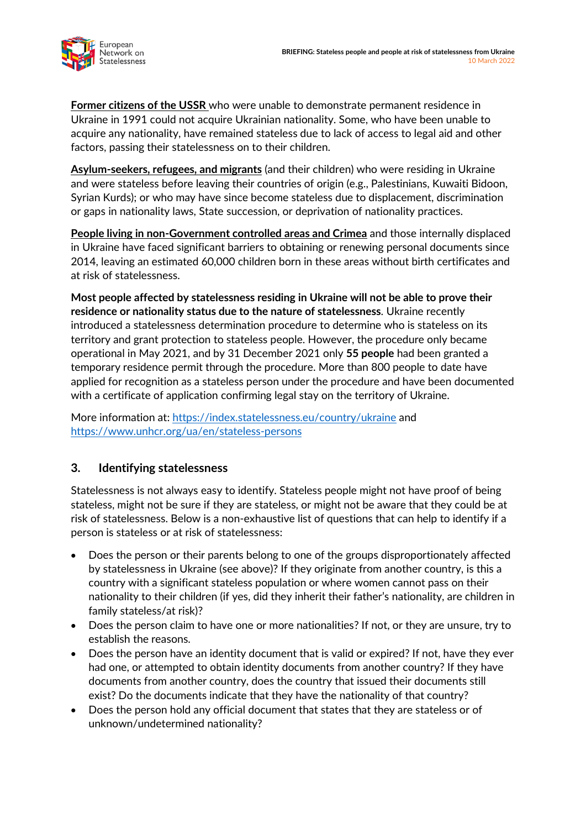

**Former citizens of the USSR** who were unable to demonstrate permanent residence in Ukraine in 1991 could not acquire Ukrainian nationality. Some, who have been unable to acquire any nationality, have remained stateless due to lack of access to legal aid and other factors, passing their statelessness on to their children.

**Asylum-seekers, refugees, and migrants** (and their children) who were residing in Ukraine and were stateless before leaving their countries of origin (e.g., Palestinians, Kuwaiti Bidoon, Syrian Kurds); or who may have since become stateless due to displacement, discrimination or gaps in nationality laws, State succession, or deprivation of nationality practices.

**People living in non-Government controlled areas and Crimea** and those internally displaced in Ukraine have faced significant barriers to obtaining or renewing personal documents since 2014, leaving an estimated 60,000 children born in these areas without birth certificates and at risk of statelessness.

**Most people affected by statelessness residing in Ukraine will not be able to prove their residence or nationality status due to the nature of statelessness**. Ukraine recently introduced a statelessness determination procedure to determine who is stateless on its territory and grant protection to stateless people. However, the procedure only became operational in May 2021, and by 31 December 2021 only **55 people** had been granted a temporary residence permit through the procedure. More than 800 people to date have applied for recognition as a stateless person under the procedure and have been documented with a certificate of application confirming legal stay on the territory of Ukraine.

More information at:<https://index.statelessness.eu/country/ukraine> and <https://www.unhcr.org/ua/en/stateless-persons>

#### **3. Identifying statelessness**

Statelessness is not always easy to identify. Stateless people might not have proof of being stateless, might not be sure if they are stateless, or might not be aware that they could be at risk of statelessness. Below is a non-exhaustive list of questions that can help to identify if a person is stateless or at risk of statelessness:

- Does the person or their parents belong to one of the groups disproportionately affected by statelessness in Ukraine (see above)? If they originate from another country, is this a country with a significant stateless population or where women cannot pass on their nationality to their children (if yes, did they inherit their father's nationality, are children in family stateless/at risk)?
- Does the person claim to have one or more nationalities? If not, or they are unsure, try to establish the reasons.
- Does the person have an identity document that is valid or expired? If not, have they ever had one, or attempted to obtain identity documents from another country? If they have documents from another country, does the country that issued their documents still exist? Do the documents indicate that they have the nationality of that country?
- Does the person hold any official document that states that they are stateless or of unknown/undetermined nationality?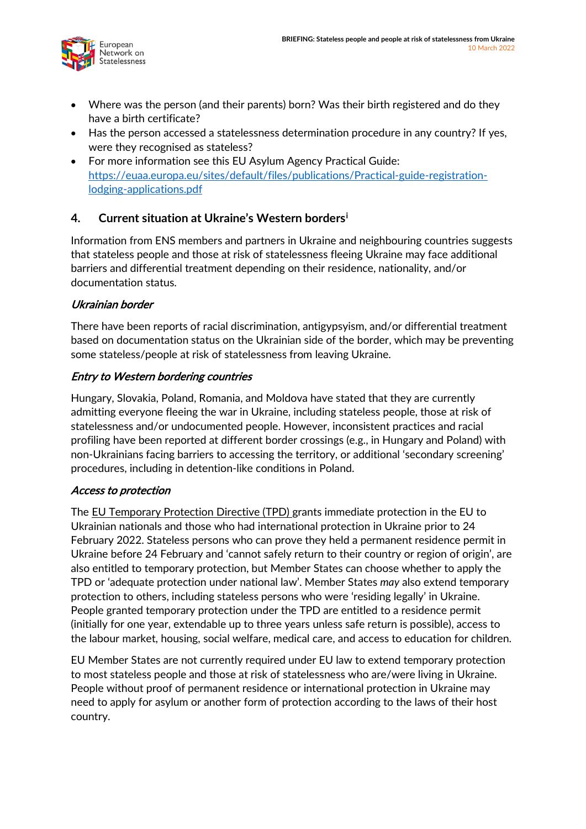

- Where was the person (and their parents) born? Was their birth registered and do they have a birth certificate?
- Has the person accessed a statelessness determination procedure in any country? If yes, were they recognised as stateless?
- For more information see this EU Asylum Agency Practical Guide: [https://euaa.europa.eu/sites/default/files/publications/Practical-guide-registration](https://euaa.europa.eu/sites/default/files/publications/Practical-guide-registration-lodging-applications.pdf)[lodging-applications.pdf](https://euaa.europa.eu/sites/default/files/publications/Practical-guide-registration-lodging-applications.pdf)

### **4. Current situation at Ukraine's Western borders[i](#page-4-0)**

Information from ENS members and partners in Ukraine and neighbouring countries suggests that stateless people and those at risk of statelessness fleeing Ukraine may face additional barriers and differential treatment depending on their residence, nationality, and/or documentation status.

#### Ukrainian border

There have been reports of racial discrimination, antigypsyism, and/or differential treatment based on documentation status on the Ukrainian side of the border, which may be preventing some stateless/people at risk of statelessness from leaving Ukraine.

#### Entry to Western bordering countries

Hungary, Slovakia, Poland, Romania, and Moldova have stated that they are currently admitting everyone fleeing the war in Ukraine, including stateless people, those at risk of statelessness and/or undocumented people. However, inconsistent practices and racial profiling have been reported at different border crossings (e.g., in Hungary and Poland) with non-Ukrainians facing barriers to accessing the territory, or additional 'secondary screening' procedures, including in detention-like conditions in Poland.

#### Access to protection

The EU Temporary Protection Directive (TPD) grants immediate protection in the EU to Ukrainian nationals and those who had international protection in Ukraine prior to 24 February 2022. Stateless persons who can prove they held a permanent residence permit in Ukraine before 24 February and 'cannot safely return to their country or region of origin', are also entitled to temporary protection, but Member States can choose whether to apply the TPD or 'adequate protection under national law'. Member States *may* also extend temporary protection to others, including stateless persons who were 'residing legally' in Ukraine. People granted temporary protection under the TPD are entitled to a residence permit (initially for one year, extendable up to three years unless safe return is possible), access to the labour market, housing, social welfare, medical care, and access to education for children.

EU Member States are not currently required under EU law to extend temporary protection to most stateless people and those at risk of statelessness who are/were living in Ukraine. People without proof of permanent residence or international protection in Ukraine may need to apply for asylum or another form of protection according to the laws of their host country.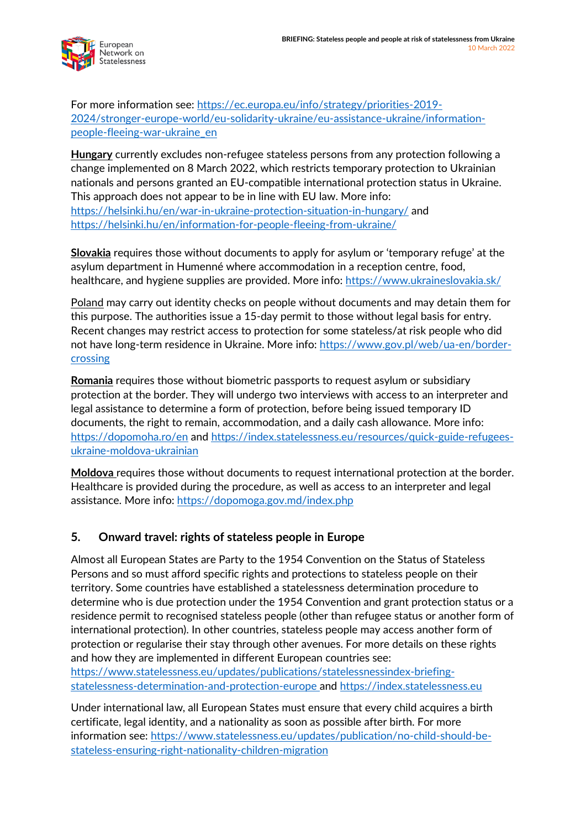

For more information see: [https://ec.europa.eu/info/strategy/priorities-2019-](https://ec.europa.eu/info/strategy/priorities-2019-2024/stronger-europe-world/eu-solidarity-ukraine/eu-assistance-ukraine/information-people-fleeing-war-ukraine_en) [2024/stronger-europe-world/eu-solidarity-ukraine/eu-assistance-ukraine/information](https://ec.europa.eu/info/strategy/priorities-2019-2024/stronger-europe-world/eu-solidarity-ukraine/eu-assistance-ukraine/information-people-fleeing-war-ukraine_en)[people-fleeing-war-ukraine\\_en](https://ec.europa.eu/info/strategy/priorities-2019-2024/stronger-europe-world/eu-solidarity-ukraine/eu-assistance-ukraine/information-people-fleeing-war-ukraine_en)

**Hungary** currently excludes non-refugee stateless persons from any protection following a change implemented on 8 March 2022, which restricts temporary protection to Ukrainian nationals and persons granted an EU-compatible international protection status in Ukraine. This approach does not appear to be in line with EU law. More info: <https://helsinki.hu/en/war-in-ukraine-protection-situation-in-hungary/> and <https://helsinki.hu/en/information-for-people-fleeing-from-ukraine/>

**Slovakia** requires those without documents to apply for asylum or 'temporary refuge' at the asylum department in Humenné where accommodation in a reception centre, food, healthcare, and hygiene supplies are provided. More info:<https://www.ukraineslovakia.sk/>

Poland may carry out identity checks on people without documents and may detain them for this purpose. The authorities issue a 15-day permit to those without legal basis for entry. Recent changes may restrict access to protection for some stateless/at risk people who did not have long-term residence in Ukraine. More info: [https://www.gov.pl/web/ua-en/border](https://www.gov.pl/web/ua-en/border-crossing)[crossing](https://www.gov.pl/web/ua-en/border-crossing)

**Romania** requires those without biometric passports to request asylum or subsidiary protection at the border. They will undergo two interviews with access to an interpreter and legal assistance to determine a form of protection, before being issued temporary ID documents, the right to remain, accommodation, and a daily cash allowance. More info: <https://dopomoha.ro/en> and [https://index.statelessness.eu/resources/quick-guide-refugees](https://index.statelessness.eu/resources/quick-guide-refugees-ukraine-moldova-ukrainian)[ukraine-moldova-ukrainian](https://index.statelessness.eu/resources/quick-guide-refugees-ukraine-moldova-ukrainian)

**Moldova** requires those without documents to request international protection at the border. Healthcare is provided during the procedure, as well as access to an interpreter and legal assistance. More info:<https://dopomoga.gov.md/index.php>

#### **5. Onward travel: rights of stateless people in Europe**

Almost all European States are Party to the 1954 Convention on the Status of Stateless Persons and so must afford specific rights and protections to stateless people on their territory. Some countries have established a statelessness determination procedure to determine who is due protection under the 1954 Convention and grant protection status or a residence permit to recognised stateless people (other than refugee status or another form of international protection). In other countries, stateless people may access another form of protection or regularise their stay through other avenues. For more details on these rights and how they are implemented in different European countries see: [https://www.statelessness.eu/updates/publications/statelessnessindex-briefing-](https://www.statelessness.eu/updates/publications/statelessnessindex-briefing-statelessness-determination-and-protection-europe)

[statelessness-determination-and-protection-europe](https://www.statelessness.eu/updates/publications/statelessnessindex-briefing-statelessness-determination-and-protection-europe) and [https://index.statelessness.eu](https://index.statelessness.eu/)

Under international law, all European States must ensure that every child acquires a birth certificate, legal identity, and a nationality as soon as possible after birth. For more information see: [https://www.statelessness.eu/updates/publication/no-child-should-be](https://www.statelessness.eu/updates/publication/no-child-should-be-stateless-ensuring-right-nationality-children-migration)[stateless-ensuring-right-nationality-children-migration](https://www.statelessness.eu/updates/publication/no-child-should-be-stateless-ensuring-right-nationality-children-migration)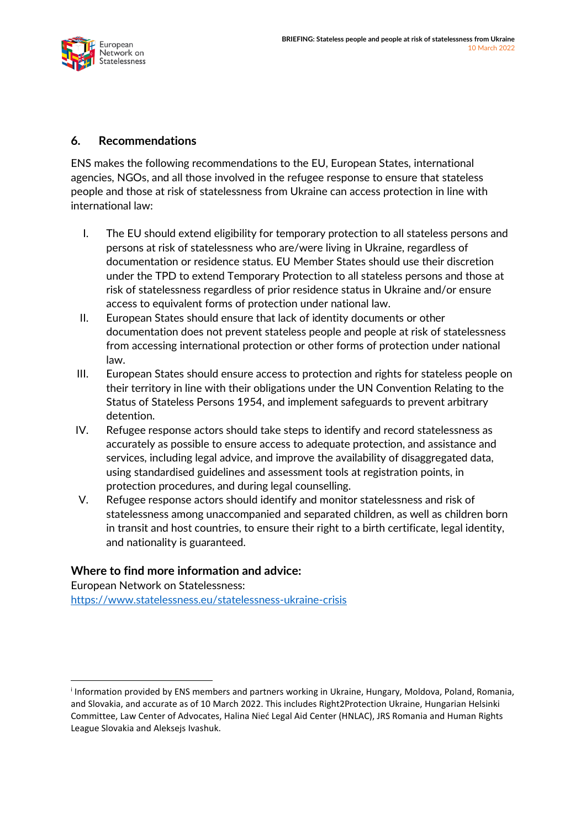#### **6. Recommendations**

ENS makes the following recommendations to the EU, European States, international agencies, NGOs, and all those involved in the refugee response to ensure that stateless people and those at risk of statelessness from Ukraine can access protection in line with international law:

- I. The EU should extend eligibility for temporary protection to all stateless persons and persons at risk of statelessness who are/were living in Ukraine, regardless of documentation or residence status. EU Member States should use their discretion under the TPD to extend Temporary Protection to all stateless persons and those at risk of statelessness regardless of prior residence status in Ukraine and/or ensure access to equivalent forms of protection under national law.
- II. European States should ensure that lack of identity documents or other documentation does not prevent stateless people and people at risk of statelessness from accessing international protection or other forms of protection under national law.
- III. European States should ensure access to protection and rights for stateless people on their territory in line with their obligations under the UN Convention Relating to the Status of Stateless Persons 1954, and implement safeguards to prevent arbitrary detention.
- IV. Refugee response actors should take steps to identify and record statelessness as accurately as possible to ensure access to adequate protection, and assistance and services, including legal advice, and improve the availability of disaggregated data, using standardised guidelines and assessment tools at registration points, in protection procedures, and during legal counselling.
- V. Refugee response actors should identify and monitor statelessness and risk of statelessness among unaccompanied and separated children, as well as children born in transit and host countries, to ensure their right to a birth certificate, legal identity, and nationality is guaranteed.

#### **Where to find more information and advice:**

European Network on Statelessness: <https://www.statelessness.eu/statelessness-ukraine-crisis>

<span id="page-4-0"></span><sup>i</sup> Information provided by ENS members and partners working in Ukraine, Hungary, Moldova, Poland, Romania, and Slovakia, and accurate as of 10 March 2022. This includes Right2Protection Ukraine, Hungarian Helsinki Committee, Law Center of Advocates, Halina Nieć Legal Aid Center (HNLAC), JRS Romania and Human Rights League Slovakia and Aleksejs Ivashuk.